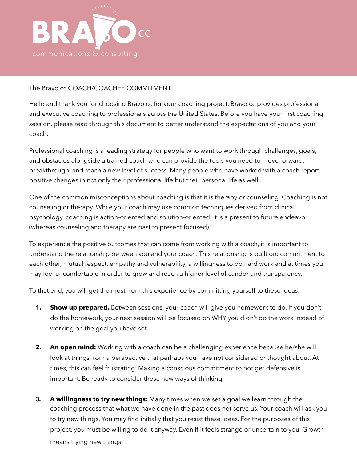

## The Bravo cc COACH/COACHEE COMMITMENT

Hello and thank you for choosing Bravo cc for your coaching project. Bravo cc provides professional and executive coaching to professionals across the United States. Before you have your first coaching session, please read through this document to better understand the expectations of you and your coach.

Professional coaching is a leading strategy for people who want to work through challenges, goals, and obstacles alongside a trained coach who can provide the tools you need to move forward, breakthrough, and reach a new level of success. Many people who have worked with a coach report positive changes in not only their professional life but their personal life as well.

One of the common misconceptions about coaching is that it is therapy or counseling. Coaching is not counseling or therapy. While your coach may use common techniques derived from clinical psychology, coaching is action-oriented and solution-oriented. It is a present to future endeavor (whereas counseling and therapy are past to present focused).

To experience the positive outcomes that can come from working with a coach, it is important to understand the relationship between you and your coach. This relationship is built on: commitment to each other, mutual respect, empathy and vulnerability, a willingness to do hard work and at times you may feel uncomfortable in order to grow and reach a higher level of candor and transparency.

To that end, you will get the most from this experience by committing yourself to these ideas:

- **1. Show up prepared.** Between sessions, your coach will give you homework to do. If you don't do the homework, your next session will be focused on WHY you didn't do the work instead of working on the goal you have set.
- **2.** An open mind: Working with a coach can be a challenging experience because he/she will look at things from a perspective that perhaps you have not considered or thought about. At times, this can feel frustrating. Making a conscious commitment to not get defensive is important. Be ready to consider these new ways of thinking.
- **3. A willingness to try new things:** Many times when we set a goal we learn through the coaching process that what we have done in the past does not serve us. Your coach will ask you to try new things. You may find initially that you resist these ideas. For the purposes of this project, you must be willing to do it anyway. Even if it feels strange or uncertain to you. Growth means trying new things.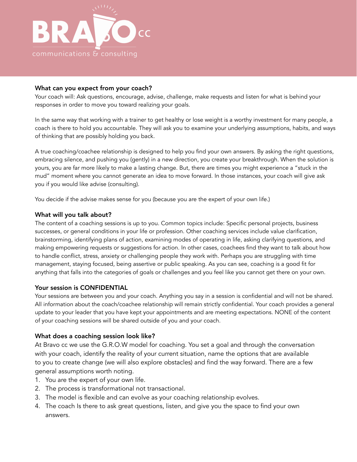

#### What can you expect from your coach?

Your coach will: Ask questions, encourage, advise, challenge, make requests and listen for what is behind your responses in order to move you toward realizing your goals.

In the same way that working with a trainer to get healthy or lose weight is a worthy investment for many people, a coach is there to hold you accountable. They will ask you to examine your underlying assumptions, habits, and ways of thinking that are possibly holding you back.

A true coaching/coachee relationship is designed to help you find your own answers. By asking the right questions, embracing silence, and pushing you (gently) in a new direction, you create your breakthrough. When the solution is yours, you are far more likely to make a lasting change. But, there are times you might experience a "stuck in the mud" moment where you cannot generate an idea to move forward. In those instances, your coach will give ask you if you would like advise (consulting).

You decide if the advise makes sense for you (because you are the expert of your own life.)

### What will you talk about?

The content of a coaching sessions is up to you. Common topics include: Specific personal projects, business successes, or general conditions in your life or profession. Other coaching services include value clarification, brainstorming, identifying plans of action, examining modes of operating in life, asking clarifying questions, and making empowering requests or suggestions for action. In other cases, coachees find they want to talk about how to handle conflict, stress, anxiety or challenging people they work with. Perhaps you are struggling with time management, staying focused, being assertive or public speaking. As you can see, coaching is a good fit for anything that falls into the categories of goals or challenges and you feel like you cannot get there on your own.

#### Your session is CONFIDENTIAL

Your sessions are between you and your coach. Anything you say in a session is confidential and will not be shared. All information about the coach/coachee relationship will remain strictly confidential. Your coach provides a general update to your leader that you have kept your appointments and are meeting expectations. NONE of the content of your coaching sessions will be shared outside of you and your coach.

#### What does a coaching session look like?

At Bravo cc we use the G.R.O.W model for coaching. You set a goal and through the conversation with your coach, identify the reality of your current situation, name the options that are available to you to create change (we will also explore obstacles) and find the way forward. There are a few general assumptions worth noting.

- 1. You are the expert of your own life.
- 2. The process is transformational not transactional.
- 3. The model is flexible and can evolve as your coaching relationship evolves.
- 4. The coach Is there to ask great questions, listen, and give you the space to find your own answers.